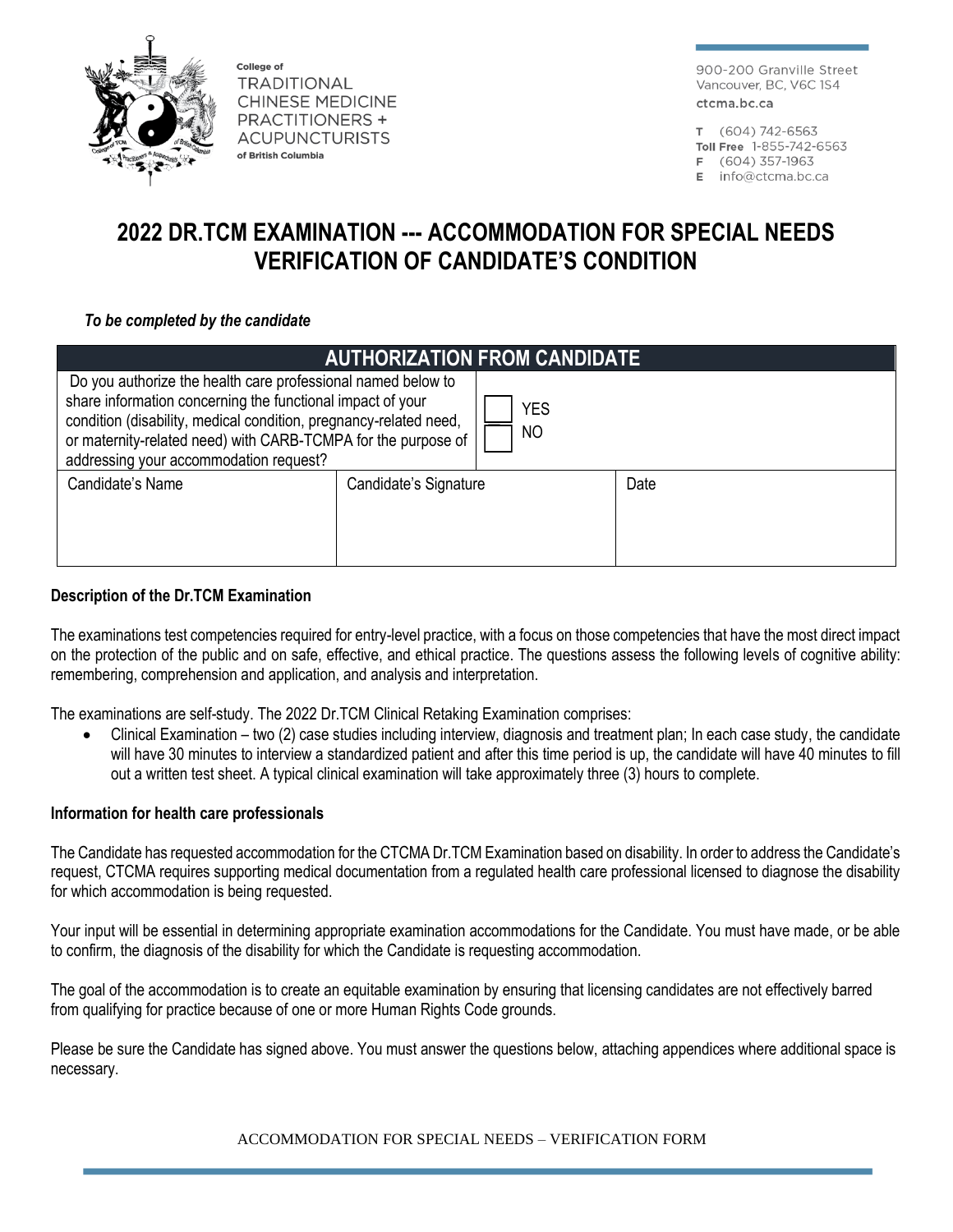

College of **TRADITIONAL CHINESE MEDICINE PRACTITIONERS + ACUPUNCTURISTS** of British Columbia

900-200 Granville Street Vancouver, BC, V6C 1S4 ctcma.bc.ca

T (604) 742-6563

- Toll Free 1-855-742-6563
- F (604) 357-1963
- $E$  info@ctcma.bc.ca

# **2022 DR.TCM EXAMINATION --- ACCOMMODATION FOR SPECIAL NEEDS VERIFICATION OF CANDIDATE'S CONDITION**

### *To be completed by the candidate*

| <b>AUTHORIZATION FROM CANDIDATE</b>                                                                                                                                                                                                                                                                        |                       |                  |      |  |
|------------------------------------------------------------------------------------------------------------------------------------------------------------------------------------------------------------------------------------------------------------------------------------------------------------|-----------------------|------------------|------|--|
| Do you authorize the health care professional named below to<br>share information concerning the functional impact of your<br>condition (disability, medical condition, pregnancy-related need,<br>or maternity-related need) with CARB-TCMPA for the purpose of<br>addressing your accommodation request? |                       | <b>YES</b><br>NO |      |  |
| Candidate's Name                                                                                                                                                                                                                                                                                           | Candidate's Signature |                  | Date |  |

## **Description of the Dr.TCM Examination**

The examinations test competencies required for entry-level practice, with a focus on those competencies that have the most direct impact on the protection of the public and on safe, effective, and ethical practice. The questions assess the following levels of cognitive ability: remembering, comprehension and application, and analysis and interpretation.

The examinations are self-study. The 2022 Dr.TCM Clinical Retaking Examination comprises:

• Clinical Examination – two (2) case studies including interview, diagnosis and treatment plan; In each case study, the candidate will have 30 minutes to interview a standardized patient and after this time period is up, the candidate will have 40 minutes to fill out a written test sheet. A typical clinical examination will take approximately three (3) hours to complete.

#### **Information for health care professionals**

The Candidate has requested accommodation for the CTCMA Dr.TCM Examination based on disability. In order to address the Candidate's request, CTCMA requires supporting medical documentation from a regulated health care professional licensed to diagnose the disability for which accommodation is being requested.

Your input will be essential in determining appropriate examination accommodations for the Candidate. You must have made, or be able to confirm, the diagnosis of the disability for which the Candidate is requesting accommodation.

The goal of the accommodation is to create an equitable examination by ensuring that licensing candidates are not effectively barred from qualifying for practice because of one or more Human Rights Code grounds.

Please be sure the Candidate has signed above. You must answer the questions below, attaching appendices where additional space is necessary.

ACCOMMODATION FOR SPECIAL NEEDS – VERIFICATION FORM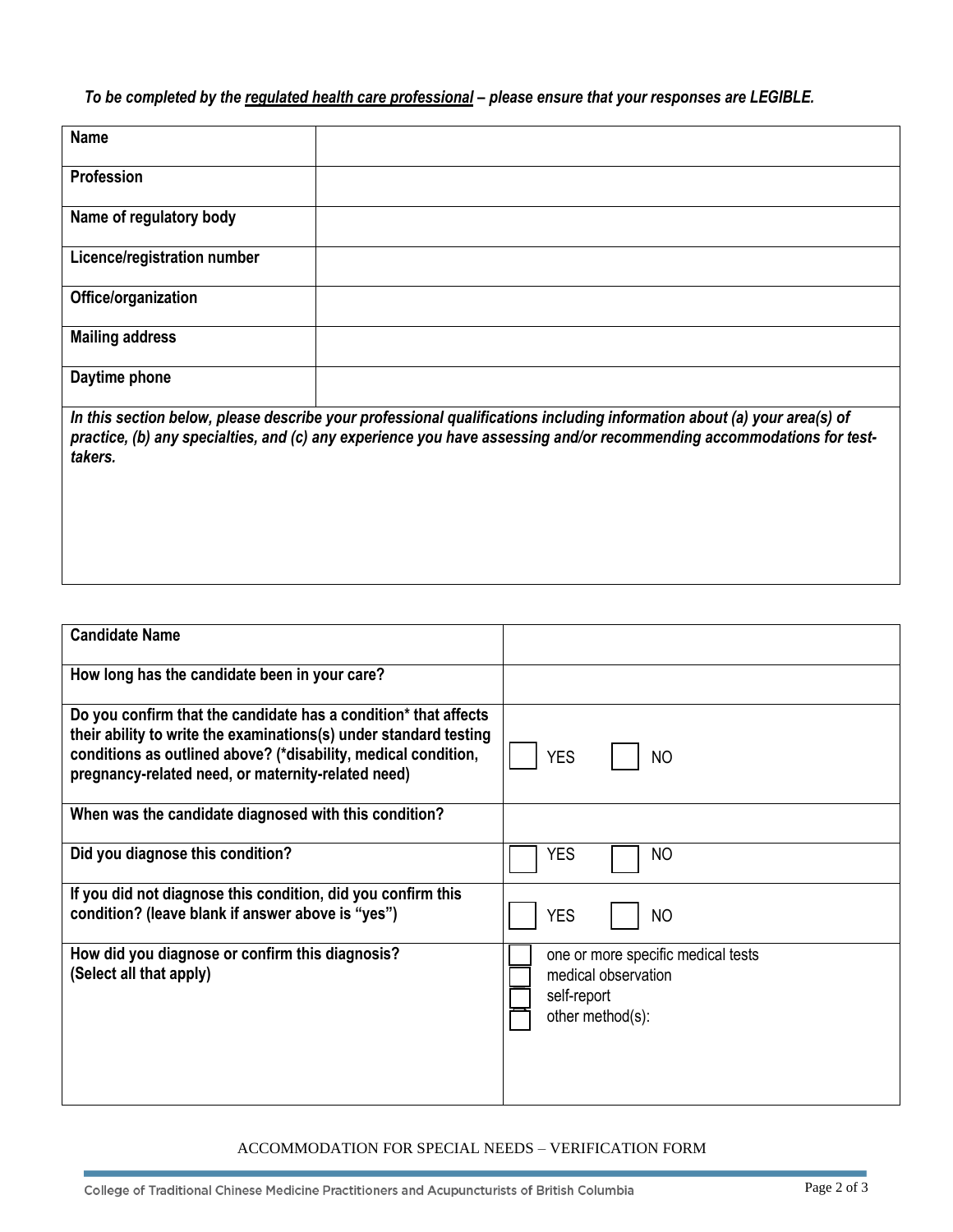## *To be completed by the regulated health care professional – please ensure that your responses are LEGIBLE.*

| <b>Name</b>                 |                                                                                                                                                                                                                                             |
|-----------------------------|---------------------------------------------------------------------------------------------------------------------------------------------------------------------------------------------------------------------------------------------|
| Profession                  |                                                                                                                                                                                                                                             |
| Name of regulatory body     |                                                                                                                                                                                                                                             |
| Licence/registration number |                                                                                                                                                                                                                                             |
| Office/organization         |                                                                                                                                                                                                                                             |
| <b>Mailing address</b>      |                                                                                                                                                                                                                                             |
| Daytime phone               |                                                                                                                                                                                                                                             |
| $\sim$                      | $\frac{1}{2}$ . The contract of the contract of the contract of the contract of the contract of the contract of the contract of the contract of the contract of the contract of the contract of the contract of the contract of t<br>.<br>. |

*In this section below, please describe your professional qualifications including information about (a) your area(s) of practice, (b) any specialties, and (c) any experience you have assessing and/or recommending accommodations for testtakers.*

| <b>Candidate Name</b>                                                                                                                                                                                                                                        |                                                                                              |  |
|--------------------------------------------------------------------------------------------------------------------------------------------------------------------------------------------------------------------------------------------------------------|----------------------------------------------------------------------------------------------|--|
| How long has the candidate been in your care?                                                                                                                                                                                                                |                                                                                              |  |
| Do you confirm that the candidate has a condition* that affects<br>their ability to write the examinations(s) under standard testing<br>conditions as outlined above? (*disability, medical condition,<br>pregnancy-related need, or maternity-related need) | <b>YES</b><br><b>NO</b>                                                                      |  |
| When was the candidate diagnosed with this condition?                                                                                                                                                                                                        |                                                                                              |  |
| Did you diagnose this condition?                                                                                                                                                                                                                             | <b>YES</b><br><b>NO</b>                                                                      |  |
| If you did not diagnose this condition, did you confirm this<br>condition? (leave blank if answer above is "yes")                                                                                                                                            | <b>YES</b><br><b>NO</b>                                                                      |  |
| How did you diagnose or confirm this diagnosis?<br>(Select all that apply)                                                                                                                                                                                   | one or more specific medical tests<br>medical observation<br>self-report<br>other method(s): |  |

#### ACCOMMODATION FOR SPECIAL NEEDS – VERIFICATION FORM